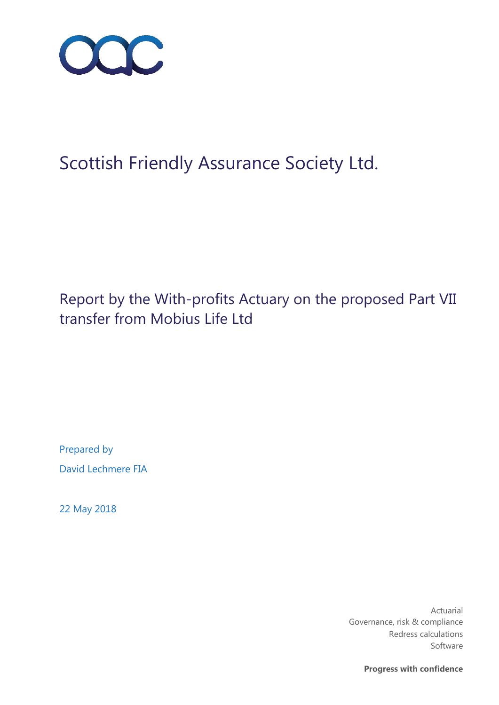

# Scottish Friendly Assurance Society Ltd.

Report by the With-profits Actuary on the proposed Part VII transfer from Mobius Life Ltd

Prepared by David Lechmere FIA

22 May 2018

Actuarial Governance, risk & compliance Redress calculations Software

**Progress with confidence**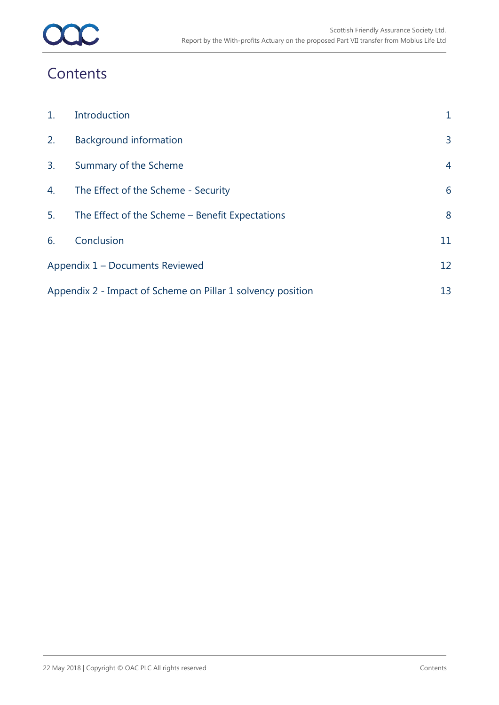### **Contents**

| $\mathbf{1}$ .                                              | Introduction                                    | 1              |
|-------------------------------------------------------------|-------------------------------------------------|----------------|
| 2.                                                          | <b>Background information</b>                   | 3              |
| 3.                                                          | Summary of the Scheme                           | $\overline{4}$ |
| 4.                                                          | The Effect of the Scheme - Security             | 6              |
| 5.                                                          | The Effect of the Scheme - Benefit Expectations | 8              |
| 6.                                                          | Conclusion                                      | 11             |
| Appendix 1 – Documents Reviewed                             |                                                 | 12             |
| Appendix 2 - Impact of Scheme on Pillar 1 solvency position |                                                 |                |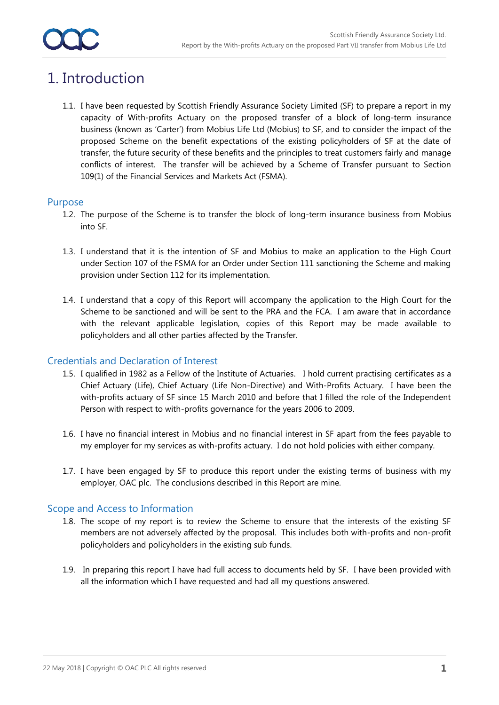### 1. Introduction

1.1. I have been requested by Scottish Friendly Assurance Society Limited (SF) to prepare a report in my capacity of With-profits Actuary on the proposed transfer of a block of long-term insurance business (known as 'Carter') from Mobius Life Ltd (Mobius) to SF, and to consider the impact of the proposed Scheme on the benefit expectations of the existing policyholders of SF at the date of transfer, the future security of these benefits and the principles to treat customers fairly and manage conflicts of interest. The transfer will be achieved by a Scheme of Transfer pursuant to Section 109(1) of the Financial Services and Markets Act (FSMA).

### Purpose

- 1.2. The purpose of the Scheme is to transfer the block of long-term insurance business from Mobius into SF.
- 1.3. I understand that it is the intention of SF and Mobius to make an application to the High Court under Section 107 of the FSMA for an Order under Section 111 sanctioning the Scheme and making provision under Section 112 for its implementation.
- 1.4. I understand that a copy of this Report will accompany the application to the High Court for the Scheme to be sanctioned and will be sent to the PRA and the FCA. I am aware that in accordance with the relevant applicable legislation, copies of this Report may be made available to policyholders and all other parties affected by the Transfer.

### Credentials and Declaration of Interest

- 1.5. I qualified in 1982 as a Fellow of the Institute of Actuaries. I hold current practising certificates as a Chief Actuary (Life), Chief Actuary (Life Non-Directive) and With-Profits Actuary. I have been the with-profits actuary of SF since 15 March 2010 and before that I filled the role of the Independent Person with respect to with-profits governance for the years 2006 to 2009.
- 1.6. I have no financial interest in Mobius and no financial interest in SF apart from the fees payable to my employer for my services as with-profits actuary. I do not hold policies with either company.
- 1.7. I have been engaged by SF to produce this report under the existing terms of business with my employer, OAC plc. The conclusions described in this Report are mine.

### Scope and Access to Information

- 1.8. The scope of my report is to review the Scheme to ensure that the interests of the existing SF members are not adversely affected by the proposal. This includes both with-profits and non-profit policyholders and policyholders in the existing sub funds.
- 1.9. In preparing this report I have had full access to documents held by SF. I have been provided with all the information which I have requested and had all my questions answered.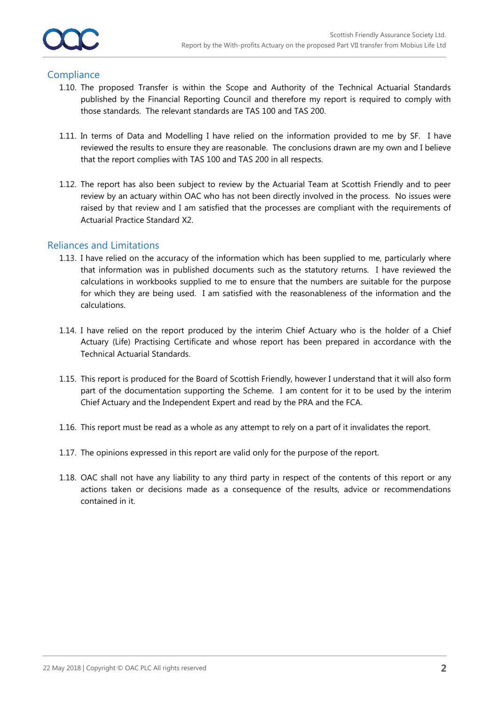### **Compliance**

- 1.10. The proposed Transfer is within the Scope and Authority of the Technical Actuarial Standards published by the Financial Reporting Council and therefore my report is required to comply with those standards. The relevant standards are TAS 100 and TAS 200.
- 1.11. In terms of Data and Modelling I have relied on the information provided to me by SF. I have reviewed the results to ensure they are reasonable. The conclusions drawn are my own and I believe that the report complies with TAS 100 and TAS 200 in all respects.
- 1.12. The report has also been subject to review by the Actuarial Team at Scottish Friendly and to peer review by an actuary within OAC who has not been directly involved in the process. No issues were raised by that review and I am satisfied that the processes are compliant with the requirements of Actuarial Practice Standard X2.

### Reliances and Limitations

- 1.13. I have relied on the accuracy of the information which has been supplied to me, particularly where that information was in published documents such as the statutory returns. I have reviewed the calculations in workbooks supplied to me to ensure that the numbers are suitable for the purpose for which they are being used. I am satisfied with the reasonableness of the information and the calculations.
- 1.14. I have relied on the report produced by the interim Chief Actuary who is the holder of a Chief Actuary (Life) Practising Certificate and whose report has been prepared in accordance with the Technical Actuarial Standards.
- 1.15. This report is produced for the Board of Scottish Friendly, however I understand that it will also form part of the documentation supporting the Scheme. I am content for it to be used by the interim Chief Actuary and the Independent Expert and read by the PRA and the FCA.
- 1.16. This report must be read as a whole as any attempt to rely on a part of it invalidates the report.
- 1.17. The opinions expressed in this report are valid only for the purpose of the report.
- 1.18. OAC shall not have any liability to any third party in respect of the contents of this report or any actions taken or decisions made as a consequence of the results, advice or recommendations contained in it.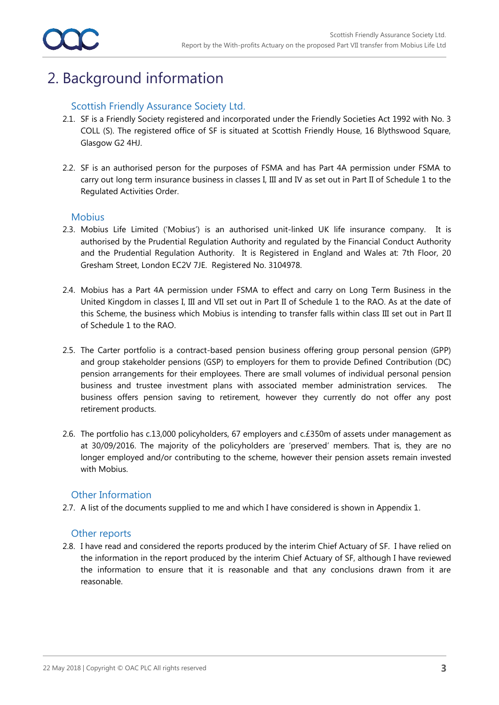### 2. Background information

### Scottish Friendly Assurance Society Ltd.

- 2.1. SF is a Friendly Society registered and incorporated under the Friendly Societies Act 1992 with No. 3 COLL (S). The registered office of SF is situated at Scottish Friendly House, 16 Blythswood Square, Glasgow G2 4HJ.
- 2.2. SF is an authorised person for the purposes of FSMA and has Part 4A permission under FSMA to carry out long term insurance business in classes I, III and IV as set out in Part II of Schedule 1 to the Regulated Activities Order.

### **Mobius**

- 2.3. Mobius Life Limited ('Mobius') is an authorised unit-linked UK life insurance company. It is authorised by the Prudential Regulation Authority and regulated by the Financial Conduct Authority and the Prudential Regulation Authority. It is Registered in England and Wales at: 7th Floor, 20 Gresham Street, London EC2V 7JE. Registered No. 3104978.
- 2.4. Mobius has a Part 4A permission under FSMA to effect and carry on Long Term Business in the United Kingdom in classes I, III and VII set out in Part II of Schedule 1 to the RAO. As at the date of this Scheme, the business which Mobius is intending to transfer falls within class III set out in Part II of Schedule 1 to the RAO.
- 2.5. The Carter portfolio is a contract-based pension business offering group personal pension (GPP) and group stakeholder pensions (GSP) to employers for them to provide Defined Contribution (DC) pension arrangements for their employees. There are small volumes of individual personal pension business and trustee investment plans with associated member administration services. The business offers pension saving to retirement, however they currently do not offer any post retirement products.
- 2.6. The portfolio has c.13,000 policyholders, 67 employers and c.£350m of assets under management as at 30/09/2016. The majority of the policyholders are 'preserved' members. That is, they are no longer employed and/or contributing to the scheme, however their pension assets remain invested with Mobius.

### Other Information

2.7. A list of the documents supplied to me and which I have considered is shown in Appendix 1.

### Other reports

2.8. I have read and considered the reports produced by the interim Chief Actuary of SF. I have relied on the information in the report produced by the interim Chief Actuary of SF, although I have reviewed the information to ensure that it is reasonable and that any conclusions drawn from it are reasonable.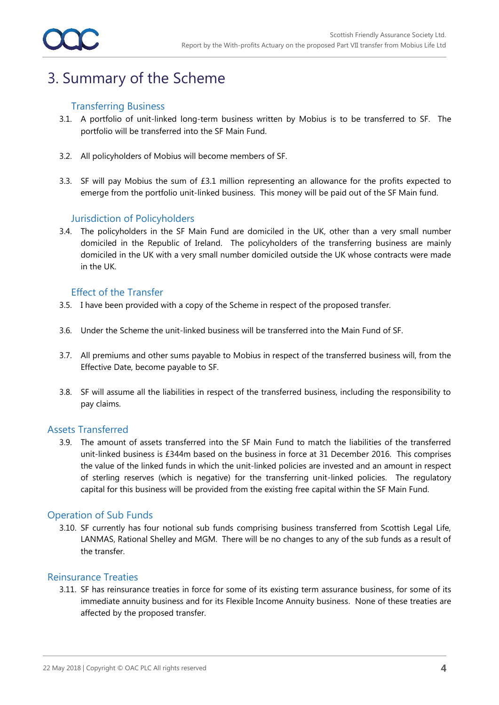### 3. Summary of the Scheme

### Transferring Business

- 3.1. A portfolio of unit-linked long-term business written by Mobius is to be transferred to SF. The portfolio will be transferred into the SF Main Fund.
- 3.2. All policyholders of Mobius will become members of SF.
- 3.3. SF will pay Mobius the sum of £3.1 million representing an allowance for the profits expected to emerge from the portfolio unit-linked business. This money will be paid out of the SF Main fund.

### Jurisdiction of Policyholders

3.4. The policyholders in the SF Main Fund are domiciled in the UK, other than a very small number domiciled in the Republic of Ireland. The policyholders of the transferring business are mainly domiciled in the UK with a very small number domiciled outside the UK whose contracts were made in the UK.

### Effect of the Transfer

- 3.5. I have been provided with a copy of the Scheme in respect of the proposed transfer.
- 3.6. Under the Scheme the unit-linked business will be transferred into the Main Fund of SF.
- 3.7. All premiums and other sums payable to Mobius in respect of the transferred business will, from the Effective Date, become payable to SF.
- 3.8. SF will assume all the liabilities in respect of the transferred business, including the responsibility to pay claims.

#### Assets Transferred

3.9. The amount of assets transferred into the SF Main Fund to match the liabilities of the transferred unit-linked business is £344m based on the business in force at 31 December 2016. This comprises the value of the linked funds in which the unit-linked policies are invested and an amount in respect of sterling reserves (which is negative) for the transferring unit-linked policies. The regulatory capital for this business will be provided from the existing free capital within the SF Main Fund.

#### Operation of Sub Funds

3.10. SF currently has four notional sub funds comprising business transferred from Scottish Legal Life, LANMAS, Rational Shelley and MGM. There will be no changes to any of the sub funds as a result of the transfer.

### Reinsurance Treaties

3.11. SF has reinsurance treaties in force for some of its existing term assurance business, for some of its immediate annuity business and for its Flexible Income Annuity business. None of these treaties are affected by the proposed transfer.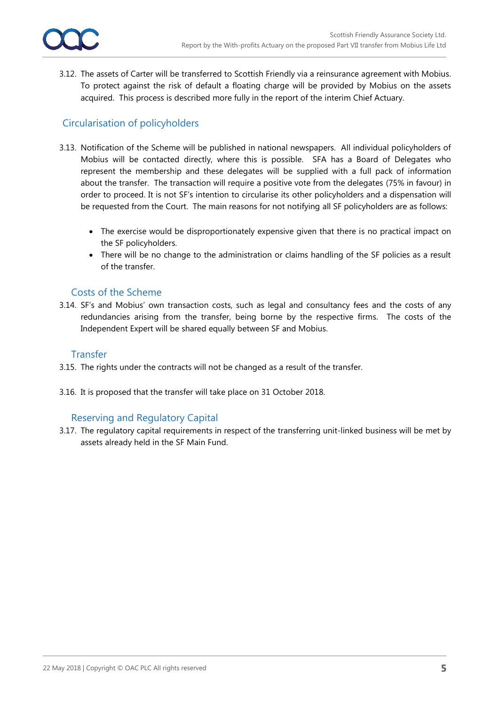

3.12. The assets of Carter will be transferred to Scottish Friendly via a reinsurance agreement with Mobius. To protect against the risk of default a floating charge will be provided by Mobius on the assets acquired. This process is described more fully in the report of the interim Chief Actuary.

### Circularisation of policyholders

- 3.13. Notification of the Scheme will be published in national newspapers. All individual policyholders of Mobius will be contacted directly, where this is possible. SFA has a Board of Delegates who represent the membership and these delegates will be supplied with a full pack of information about the transfer. The transaction will require a positive vote from the delegates (75% in favour) in order to proceed. It is not SF's intention to circularise its other policyholders and a dispensation will be requested from the Court. The main reasons for not notifying all SF policyholders are as follows:
	- The exercise would be disproportionately expensive given that there is no practical impact on the SF policyholders.
	- There will be no change to the administration or claims handling of the SF policies as a result of the transfer.

### Costs of the Scheme

3.14. SF's and Mobius' own transaction costs, such as legal and consultancy fees and the costs of any redundancies arising from the transfer, being borne by the respective firms. The costs of the Independent Expert will be shared equally between SF and Mobius.

### **Transfer**

- 3.15. The rights under the contracts will not be changed as a result of the transfer.
- 3.16. It is proposed that the transfer will take place on 31 October 2018.

### Reserving and Regulatory Capital

3.17. The regulatory capital requirements in respect of the transferring unit-linked business will be met by assets already held in the SF Main Fund.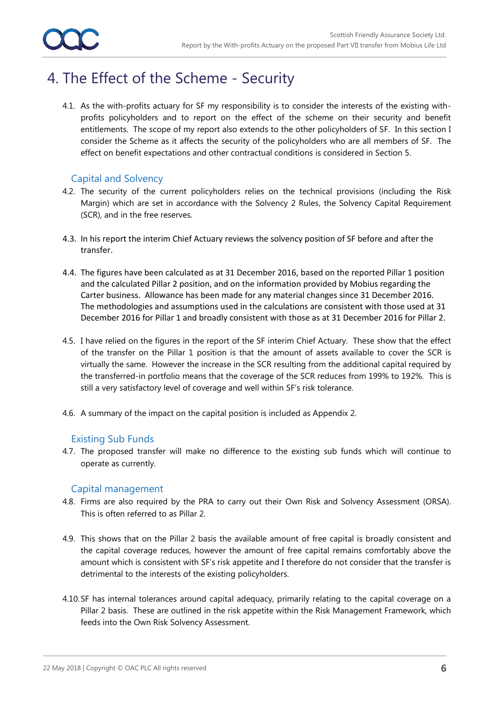### 4. The Effect of the Scheme - Security

4.1. As the with-profits actuary for SF my responsibility is to consider the interests of the existing withprofits policyholders and to report on the effect of the scheme on their security and benefit entitlements. The scope of my report also extends to the other policyholders of SF. In this section I consider the Scheme as it affects the security of the policyholders who are all members of SF. The effect on benefit expectations and other contractual conditions is considered in Section 5.

### Capital and Solvency

- 4.2. The security of the current policyholders relies on the technical provisions (including the Risk Margin) which are set in accordance with the Solvency 2 Rules, the Solvency Capital Requirement (SCR), and in the free reserves.
- 4.3. In his report the interim Chief Actuary reviews the solvency position of SF before and after the transfer.
- 4.4. The figures have been calculated as at 31 December 2016, based on the reported Pillar 1 position and the calculated Pillar 2 position, and on the information provided by Mobius regarding the Carter business. Allowance has been made for any material changes since 31 December 2016. The methodologies and assumptions used in the calculations are consistent with those used at 31 December 2016 for Pillar 1 and broadly consistent with those as at 31 December 2016 for Pillar 2.
- 4.5. I have relied on the figures in the report of the SF interim Chief Actuary. These show that the effect of the transfer on the Pillar 1 position is that the amount of assets available to cover the SCR is virtually the same. However the increase in the SCR resulting from the additional capital required by the transferred-in portfolio means that the coverage of the SCR reduces from 199% to 192%. This is still a very satisfactory level of coverage and well within SF's risk tolerance.
- 4.6. A summary of the impact on the capital position is included as Appendix 2.

### Existing Sub Funds

4.7. The proposed transfer will make no difference to the existing sub funds which will continue to operate as currently.

### Capital management

- 4.8. Firms are also required by the PRA to carry out their Own Risk and Solvency Assessment (ORSA). This is often referred to as Pillar 2.
- 4.9. This shows that on the Pillar 2 basis the available amount of free capital is broadly consistent and the capital coverage reduces, however the amount of free capital remains comfortably above the amount which is consistent with SF's risk appetite and I therefore do not consider that the transfer is detrimental to the interests of the existing policyholders.
- 4.10.SF has internal tolerances around capital adequacy, primarily relating to the capital coverage on a Pillar 2 basis. These are outlined in the risk appetite within the Risk Management Framework, which feeds into the Own Risk Solvency Assessment.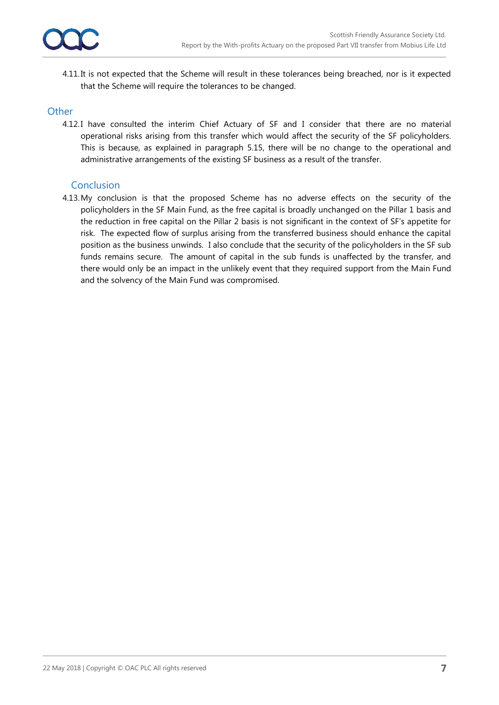4.11.It is not expected that the Scheme will result in these tolerances being breached, nor is it expected that the Scheme will require the tolerances to be changed.

#### **Other**

4.12.I have consulted the interim Chief Actuary of SF and I consider that there are no material operational risks arising from this transfer which would affect the security of the SF policyholders. This is because, as explained in paragraph 5.15, there will be no change to the operational and administrative arrangements of the existing SF business as a result of the transfer.

### **Conclusion**

4.13.My conclusion is that the proposed Scheme has no adverse effects on the security of the policyholders in the SF Main Fund, as the free capital is broadly unchanged on the Pillar 1 basis and the reduction in free capital on the Pillar 2 basis is not significant in the context of SF's appetite for risk. The expected flow of surplus arising from the transferred business should enhance the capital position as the business unwinds. I also conclude that the security of the policyholders in the SF sub funds remains secure. The amount of capital in the sub funds is unaffected by the transfer, and there would only be an impact in the unlikely event that they required support from the Main Fund and the solvency of the Main Fund was compromised.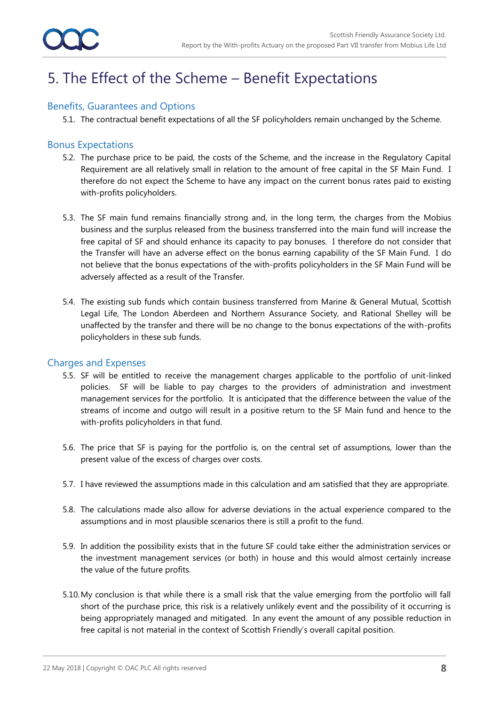### 5. The Effect of the Scheme – Benefit Expectations

### Benefits, Guarantees and Options

5.1. The contractual benefit expectations of all the SF policyholders remain unchanged by the Scheme.

### Bonus Expectations

- 5.2. The purchase price to be paid, the costs of the Scheme, and the increase in the Regulatory Capital Requirement are all relatively small in relation to the amount of free capital in the SF Main Fund. I therefore do not expect the Scheme to have any impact on the current bonus rates paid to existing with-profits policyholders.
- 5.3. The SF main fund remains financially strong and, in the long term, the charges from the Mobius business and the surplus released from the business transferred into the main fund will increase the free capital of SF and should enhance its capacity to pay bonuses. I therefore do not consider that the Transfer will have an adverse effect on the bonus earning capability of the SF Main Fund. I do not believe that the bonus expectations of the with-profits policyholders in the SF Main Fund will be adversely affected as a result of the Transfer.
- 5.4. The existing sub funds which contain business transferred from Marine & General Mutual, Scottish Legal Life, The London Aberdeen and Northern Assurance Society, and Rational Shelley will be unaffected by the transfer and there will be no change to the bonus expectations of the with-profits policyholders in these sub funds.

### Charges and Expenses

- 5.5. SF will be entitled to receive the management charges applicable to the portfolio of unit-linked policies. SF will be liable to pay charges to the providers of administration and investment management services for the portfolio. It is anticipated that the difference between the value of the streams of income and outgo will result in a positive return to the SF Main fund and hence to the with-profits policyholders in that fund.
- 5.6. The price that SF is paying for the portfolio is, on the central set of assumptions, lower than the present value of the excess of charges over costs.
- 5.7. I have reviewed the assumptions made in this calculation and am satisfied that they are appropriate.
- 5.8. The calculations made also allow for adverse deviations in the actual experience compared to the assumptions and in most plausible scenarios there is still a profit to the fund.
- 5.9. In addition the possibility exists that in the future SF could take either the administration services or the investment management services (or both) in house and this would almost certainly increase the value of the future profits.
- 5.10.My conclusion is that while there is a small risk that the value emerging from the portfolio will fall short of the purchase price, this risk is a relatively unlikely event and the possibility of it occurring is being appropriately managed and mitigated. In any event the amount of any possible reduction in free capital is not material in the context of Scottish Friendly's overall capital position.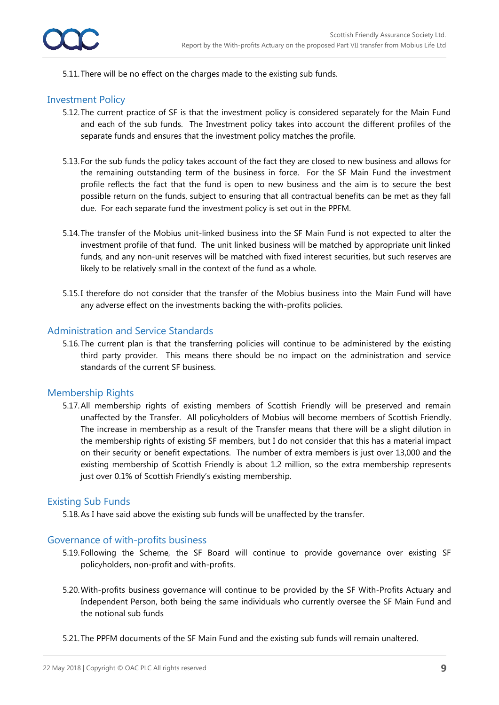

5.11.There will be no effect on the charges made to the existing sub funds.

### Investment Policy

- 5.12.The current practice of SF is that the investment policy is considered separately for the Main Fund and each of the sub funds. The Investment policy takes into account the different profiles of the separate funds and ensures that the investment policy matches the profile.
- 5.13.For the sub funds the policy takes account of the fact they are closed to new business and allows for the remaining outstanding term of the business in force. For the SF Main Fund the investment profile reflects the fact that the fund is open to new business and the aim is to secure the best possible return on the funds, subject to ensuring that all contractual benefits can be met as they fall due. For each separate fund the investment policy is set out in the PPFM.
- 5.14.The transfer of the Mobius unit-linked business into the SF Main Fund is not expected to alter the investment profile of that fund. The unit linked business will be matched by appropriate unit linked funds, and any non-unit reserves will be matched with fixed interest securities, but such reserves are likely to be relatively small in the context of the fund as a whole.
- 5.15.I therefore do not consider that the transfer of the Mobius business into the Main Fund will have any adverse effect on the investments backing the with-profits policies.

#### Administration and Service Standards

5.16.The current plan is that the transferring policies will continue to be administered by the existing third party provider. This means there should be no impact on the administration and service standards of the current SF business.

### Membership Rights

5.17.All membership rights of existing members of Scottish Friendly will be preserved and remain unaffected by the Transfer. All policyholders of Mobius will become members of Scottish Friendly. The increase in membership as a result of the Transfer means that there will be a slight dilution in the membership rights of existing SF members, but I do not consider that this has a material impact on their security or benefit expectations. The number of extra members is just over 13,000 and the existing membership of Scottish Friendly is about 1.2 million, so the extra membership represents just over 0.1% of Scottish Friendly's existing membership.

#### Existing Sub Funds

5.18.As I have said above the existing sub funds will be unaffected by the transfer.

#### Governance of with-profits business

- 5.19.Following the Scheme, the SF Board will continue to provide governance over existing SF policyholders, non-profit and with-profits.
- 5.20.With-profits business governance will continue to be provided by the SF With-Profits Actuary and Independent Person, both being the same individuals who currently oversee the SF Main Fund and the notional sub funds
- 5.21.The PPFM documents of the SF Main Fund and the existing sub funds will remain unaltered.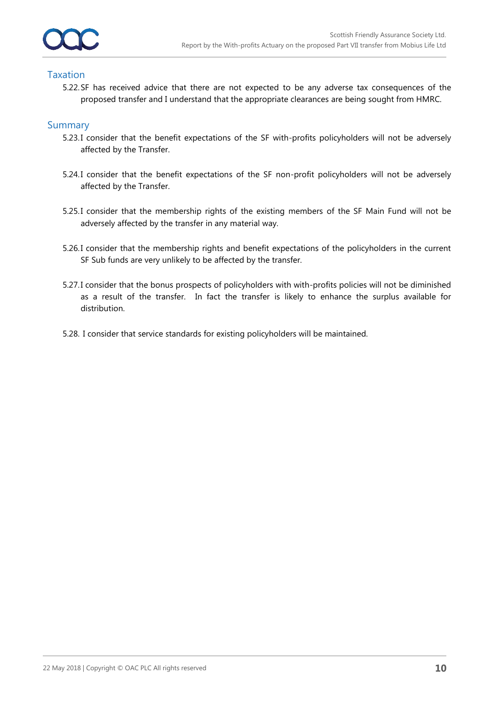### Taxation

5.22.SF has received advice that there are not expected to be any adverse tax consequences of the proposed transfer and I understand that the appropriate clearances are being sought from HMRC.

### **Summary**

- 5.23.I consider that the benefit expectations of the SF with-profits policyholders will not be adversely affected by the Transfer.
- 5.24.I consider that the benefit expectations of the SF non-profit policyholders will not be adversely affected by the Transfer.
- 5.25.I consider that the membership rights of the existing members of the SF Main Fund will not be adversely affected by the transfer in any material way.
- 5.26.I consider that the membership rights and benefit expectations of the policyholders in the current SF Sub funds are very unlikely to be affected by the transfer.
- 5.27.I consider that the bonus prospects of policyholders with with-profits policies will not be diminished as a result of the transfer. In fact the transfer is likely to enhance the surplus available for distribution.
- 5.28. I consider that service standards for existing policyholders will be maintained.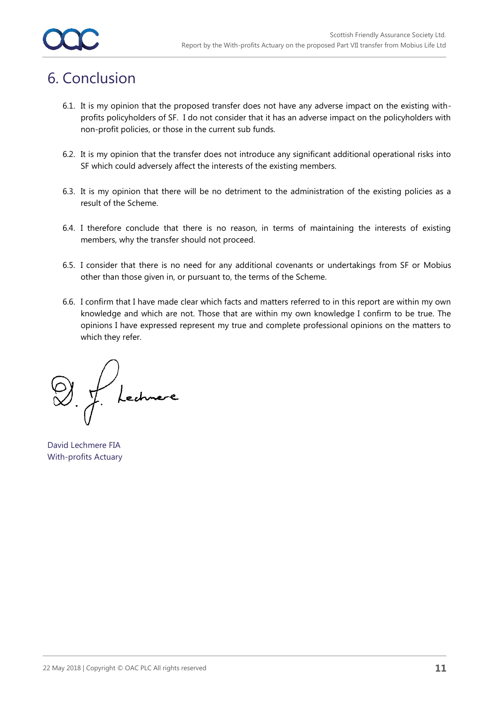### 6. Conclusion

- 6.1. It is my opinion that the proposed transfer does not have any adverse impact on the existing withprofits policyholders of SF. I do not consider that it has an adverse impact on the policyholders with non-profit policies, or those in the current sub funds.
- 6.2. It is my opinion that the transfer does not introduce any significant additional operational risks into SF which could adversely affect the interests of the existing members.
- 6.3. It is my opinion that there will be no detriment to the administration of the existing policies as a result of the Scheme.
- 6.4. I therefore conclude that there is no reason, in terms of maintaining the interests of existing members, why the transfer should not proceed.
- 6.5. I consider that there is no need for any additional covenants or undertakings from SF or Mobius other than those given in, or pursuant to, the terms of the Scheme.
- 6.6. I confirm that I have made clear which facts and matters referred to in this report are within my own knowledge and which are not. Those that are within my own knowledge I confirm to be true. The opinions I have expressed represent my true and complete professional opinions on the matters to which they refer.

Lechnere

David Lechmere FIA With-profits Actuary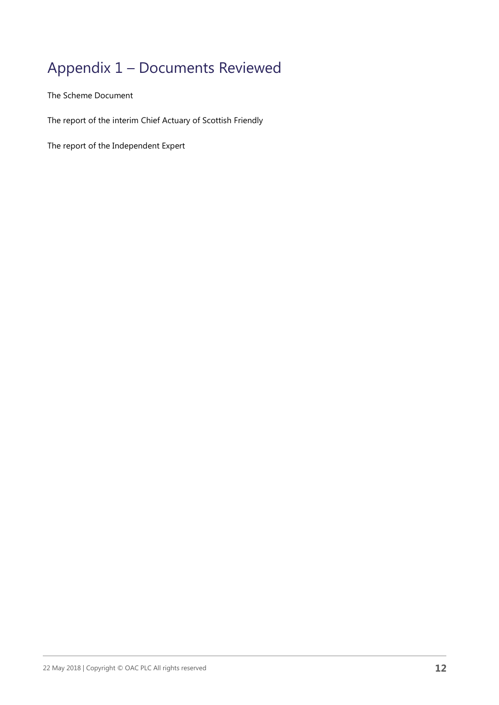### Appendix 1 – Documents Reviewed

The Scheme Document

The report of the interim Chief Actuary of Scottish Friendly

The report of the Independent Expert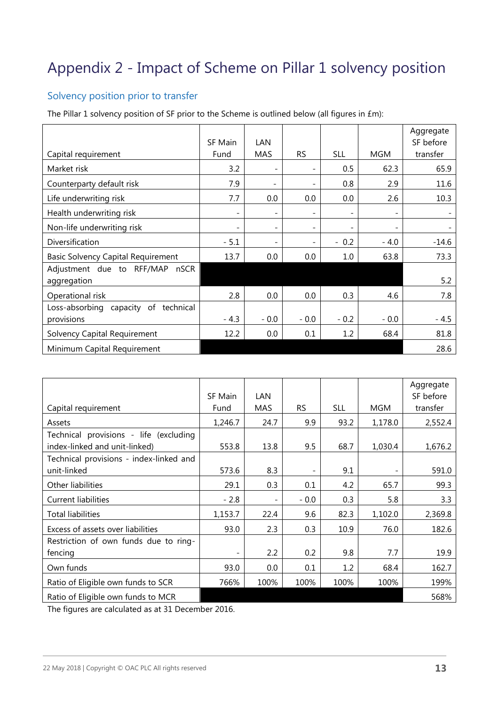## Appendix 2 - Impact of Scheme on Pillar 1 solvency position

### Solvency position prior to transfer

The Pillar 1 solvency position of SF prior to the Scheme is outlined below (all figures in £m):

|                                               | <b>SF Main</b> | <b>LAN</b>               |           |            |                          | Aggregate<br>SF before |
|-----------------------------------------------|----------------|--------------------------|-----------|------------|--------------------------|------------------------|
| Capital requirement                           | Fund           | <b>MAS</b>               | <b>RS</b> | <b>SLL</b> | MGM                      | transfer               |
| Market risk                                   | 3.2            |                          |           | 0.5        | 62.3                     | 65.9                   |
| Counterparty default risk                     | 7.9            | $\overline{\phantom{a}}$ |           | 0.8        | 2.9                      | 11.6                   |
| Life underwriting risk                        | 7.7            | 0.0                      | 0.0       | $0.0\,$    | 2.6                      | 10.3                   |
| Health underwriting risk                      |                | $\overline{\phantom{a}}$ |           |            | -                        |                        |
| Non-life underwriting risk                    |                | $\overline{\phantom{a}}$ |           | -          | $\overline{\phantom{0}}$ |                        |
| Diversification                               | $-5.1$         | $\overline{\phantom{a}}$ |           | $-0.2$     | $-4.0$                   | $-14.6$                |
| <b>Basic Solvency Capital Requirement</b>     | 13.7           | 0.0                      | 0.0       | 1.0        | 63.8                     | 73.3                   |
| Adjustment due to RFF/MAP nSCR<br>aggregation |                |                          |           |            |                          | 5.2                    |
| Operational risk                              | 2.8            | 0.0                      | 0.0       | 0.3        | 4.6                      | 7.8                    |
| Loss-absorbing capacity of technical          |                |                          |           |            |                          |                        |
| provisions                                    | $-4.3$         | $-0.0$                   | $-0.0$    | $-0.2$     | $-0.0$                   | $-4.5$                 |
| Solvency Capital Requirement                  | 12.2           | 0.0                      | 0.1       | 1.2        | 68.4                     | 81.8                   |
| Minimum Capital Requirement                   |                |                          |           |            |                          | 28.6                   |

| Capital requirement                                                     | SF Main<br>Fund          | LAN<br><b>MAS</b>        | <b>RS</b> | <b>SLL</b> | <b>MGM</b> | Aggregate<br>SF before<br>transfer |
|-------------------------------------------------------------------------|--------------------------|--------------------------|-----------|------------|------------|------------------------------------|
| Assets                                                                  | 1,246.7                  | 24.7                     | 9.9       | 93.2       | 1,178.0    | 2,552.4                            |
| Technical provisions - life (excluding<br>index-linked and unit-linked) | 553.8                    | 13.8                     | 9.5       | 68.7       | 1,030.4    | 1,676.2                            |
| Technical provisions - index-linked and<br>unit-linked                  | 573.6                    | 8.3                      |           | 9.1        |            | 591.0                              |
| Other liabilities                                                       | 29.1                     | 0.3                      | 0.1       | 4.2        | 65.7       | 99.3                               |
| <b>Current liabilities</b>                                              | $-2.8$                   | $\overline{\phantom{a}}$ | $-0.0$    | 0.3        | 5.8        | 3.3                                |
| <b>Total liabilities</b>                                                | 1,153.7                  | 22.4                     | 9.6       | 82.3       | 1,102.0    | 2,369.8                            |
| Excess of assets over liabilities                                       | 93.0                     | 2.3                      | 0.3       | 10.9       | 76.0       | 182.6                              |
| Restriction of own funds due to ring-<br>fencing                        | $\overline{\phantom{a}}$ | 2.2                      | 0.2       | 9.8        | 7.7        | 19.9                               |
| Own funds                                                               | 93.0                     | 0.0                      | 0.1       | 1.2        | 68.4       | 162.7                              |
| Ratio of Eligible own funds to SCR                                      | 766%                     | 100%                     | 100%      | 100%       | 100%       | 199%                               |
| Ratio of Eligible own funds to MCR                                      |                          |                          |           |            |            | 568%                               |

The figures are calculated as at 31 December 2016.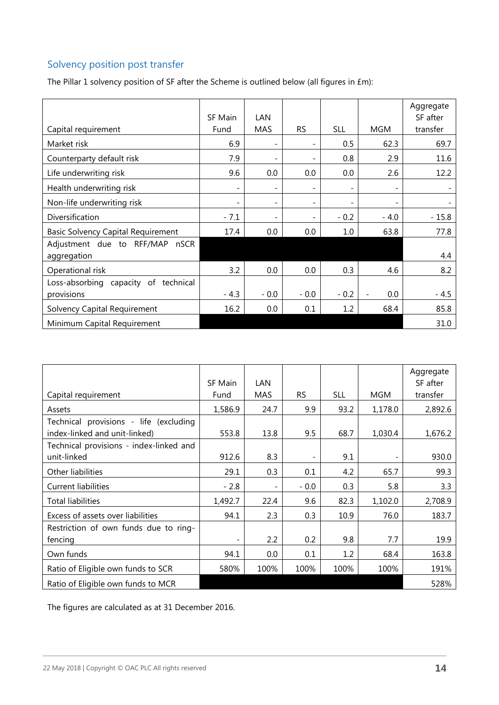### Solvency position post transfer

The Pillar 1 solvency position of SF after the Scheme is outlined below (all figures in £m):

| Capital requirement                                | SF Main<br>Fund          | LAN<br><b>MAS</b>        | <b>RS</b>                | <b>SLL</b>               | <b>MGM</b>               | Aggregate<br>SF after<br>transfer |
|----------------------------------------------------|--------------------------|--------------------------|--------------------------|--------------------------|--------------------------|-----------------------------------|
| Market risk                                        | 6.9                      | $\overline{\phantom{a}}$ |                          | 0.5                      | 62.3                     | 69.7                              |
| Counterparty default risk                          | 7.9                      | $\overline{\phantom{a}}$ | $\overline{a}$           | 0.8                      | 2.9                      | 11.6                              |
| Life underwriting risk                             | 9.6                      | 0.0                      | 0.0                      | 0.0                      | 2.6                      | 12.2                              |
| Health underwriting risk                           | $\overline{\phantom{a}}$ | $\overline{\phantom{a}}$ | $\overline{\phantom{a}}$ | $\overline{\phantom{0}}$ | $\overline{\phantom{a}}$ |                                   |
| Non-life underwriting risk                         | $\overline{\phantom{a}}$ | $\overline{\phantom{a}}$ | $\overline{\phantom{a}}$ | $\overline{\phantom{a}}$ | $\overline{\phantom{a}}$ |                                   |
| Diversification                                    | $-7.1$                   | $\overline{\phantom{a}}$ |                          | $-0.2$                   | $-4.0$                   | $-15.8$                           |
| Basic Solvency Capital Requirement                 | 17.4                     | 0.0                      | 0.0                      | 1.0                      | 63.8                     | 77.8                              |
| Adjustment due to RFF/MAP nSCR<br>aggregation      |                          |                          |                          |                          |                          | 4.4                               |
| Operational risk                                   | 3.2                      | 0.0                      | 0.0                      | 0.3                      | 4.6                      | 8.2                               |
| Loss-absorbing capacity of technical<br>provisions | $-4.3$                   | $-0.0$                   | $-0.0$                   | $-0.2$                   | 0.0                      | $-4.5$                            |
| Solvency Capital Requirement                       | 16.2                     | 0.0                      | 0.1                      | 1.2                      | 68.4                     | 85.8                              |
| Minimum Capital Requirement                        |                          |                          |                          |                          |                          | 31.0                              |

| Capital requirement                                                     | SF Main<br>Fund | <b>LAN</b><br>MAS        | <b>RS</b> | <b>SLL</b> | <b>MGM</b> | Aggregate<br>SF after<br>transfer |
|-------------------------------------------------------------------------|-----------------|--------------------------|-----------|------------|------------|-----------------------------------|
| Assets                                                                  | 1,586.9         | 24.7                     | 9.9       | 93.2       | 1,178.0    | 2,892.6                           |
| Technical provisions - life (excluding<br>index-linked and unit-linked) | 553.8           | 13.8                     | 9.5       | 68.7       | 1,030.4    | 1,676.2                           |
| Technical provisions - index-linked and<br>unit-linked                  | 912.6           | 8.3                      |           | 9.1        |            | 930.0                             |
| Other liabilities                                                       | 29.1            | 0.3                      | 0.1       | 4.2        | 65.7       | 99.3                              |
| <b>Current liabilities</b>                                              | $-2.8$          | $\overline{\phantom{a}}$ | $-0.0$    | 0.3        | 5.8        | 3.3                               |
| <b>Total liabilities</b>                                                | 1,492.7         | 22.4                     | 9.6       | 82.3       | 1,102.0    | 2,708.9                           |
| Excess of assets over liabilities                                       | 94.1            | 2.3                      | 0.3       | 10.9       | 76.0       | 183.7                             |
| Restriction of own funds due to ring-<br>fencing                        |                 | 2.2                      | 0.2       | 9.8        | 7.7        | 19.9                              |
| Own funds                                                               | 94.1            | 0.0                      | 0.1       | 1.2        | 68.4       | 163.8                             |
| Ratio of Eligible own funds to SCR                                      | 580%            | 100%                     | 100%      | 100%       | 100%       | 191%                              |
| Ratio of Eligible own funds to MCR                                      |                 |                          |           |            |            | 528%                              |

The figures are calculated as at 31 December 2016.